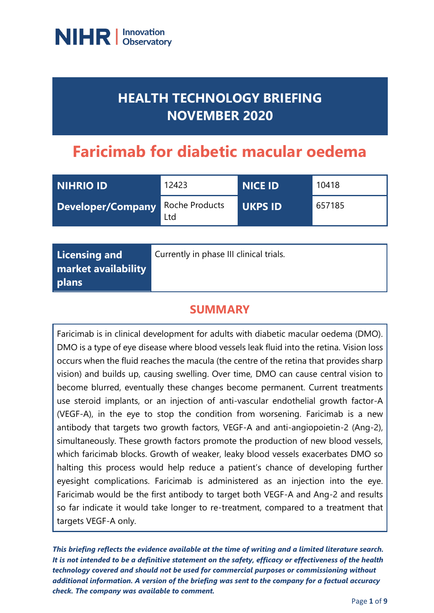

## **HEALTH TECHNOLOGY BRIEFING NOVEMBER 2020**

# **Faricimab for diabetic macular oedema**

| NIHRIO ID         | 12423                 | <b>NICE ID</b> | 10418  |
|-------------------|-----------------------|----------------|--------|
| Developer/Company | Roche Products<br>Ltd | <b>UKPS ID</b> | 657185 |

| Licensing and<br>market availability<br>plans | Currently in phase III clinical trials. |
|-----------------------------------------------|-----------------------------------------|
|-----------------------------------------------|-----------------------------------------|

### **SUMMARY**

Faricimab is in clinical development for adults with diabetic macular oedema (DMO). DMO is a type of eye disease where blood vessels leak fluid into the retina. Vision loss occurs when the fluid reaches the macula (the centre of the retina that provides sharp vision) and builds up, causing swelling. Over time, DMO can cause central vision to become blurred, eventually these changes become permanent. Current treatments use steroid implants, or an injection of anti-vascular endothelial growth factor-A (VEGF-A), in the eye to stop the condition from worsening. Faricimab is a new antibody that targets two growth factors, VEGF-A and anti-angiopoietin-2 (Ang-2), simultaneously. These growth factors promote the production of new blood vessels, which faricimab blocks. Growth of weaker, leaky blood vessels exacerbates DMO so halting this process would help reduce a patient's chance of developing further eyesight complications. Faricimab is administered as an injection into the eye. Faricimab would be the first antibody to target both VEGF-A and Ang-2 and results so far indicate it would take longer to re-treatment, compared to a treatment that targets VEGF-A only.

*This briefing reflects the evidence available at the time of writing and a limited literature search. It is not intended to be a definitive statement on the safety, efficacy or effectiveness of the health technology covered and should not be used for commercial purposes or commissioning without additional information. A version of the briefing was sent to the company for a factual accuracy check. The company was available to comment.*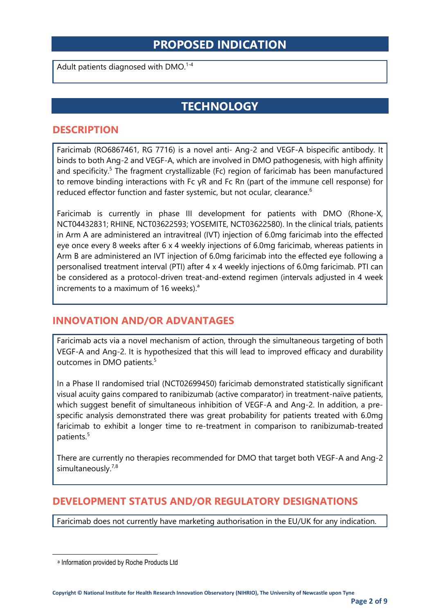### **PROPOSED INDICATION**

Adult patients diagnosed with DMO.<sup>1-4</sup>

### **TECHNOLOGY**

#### **DESCRIPTION**

Faricimab (RO6867461, RG 7716) is a novel anti- Ang-2 and VEGF-A bispecific antibody. It binds to both Ang-2 and VEGF-A, which are involved in DMO pathogenesis, with high affinity and specificity.<sup>5</sup> The fragment crystallizable (Fc) region of faricimab has been manufactured to remove binding interactions with Fc γR and Fc Rn (part of the immune cell response) for reduced effector function and faster systemic, but not ocular, clearance.<sup>6</sup>

Faricimab is currently in phase III development for patients with DMO (Rhone-X, NCT04432831; RHINE, NCT03622593; YOSEMITE, NCT03622580). In the clinical trials, patients in Arm A are administered an intravitreal (IVT) injection of 6.0mg faricimab into the effected eye once every 8 weeks after 6 x 4 weekly injections of 6.0mg faricimab, whereas patients in Arm B are administered an IVT injection of 6.0mg faricimab into the effected eye following a personalised treatment interval (PTI) after 4 x 4 weekly injections of 6.0mg faricimab. PTI can be considered as a protocol-driven treat-and-extend regimen (intervals adjusted in 4 week increments to a maximum of 16 weeks).<sup>a</sup>

#### **INNOVATION AND/OR ADVANTAGES**

Faricimab acts via a novel mechanism of action, through the simultaneous targeting of both VEGF-A and Ang-2. It is hypothesized that this will lead to improved efficacy and durability outcomes in DMO patients.<sup>5</sup>

In a Phase II randomised trial (NCT02699450) faricimab demonstrated statistically significant visual acuity gains compared to ranibizumab (active comparator) in treatment-naïve patients, which suggest benefit of simultaneous inhibition of VEGF-A and Ang-2. In addition, a prespecific analysis demonstrated there was great probability for patients treated with 6.0mg faricimab to exhibit a longer time to re-treatment in comparison to ranibizumab-treated patients.<sup>5</sup>

There are currently no therapies recommended for DMO that target both VEGF-A and Ang-2 simultaneously.<sup>7,8</sup>

#### **DEVELOPMENT STATUS AND/OR REGULATORY DESIGNATIONS**

Faricimab does not currently have marketing authorisation in the EU/UK for any indication.

a Information provided by Roche Products Ltd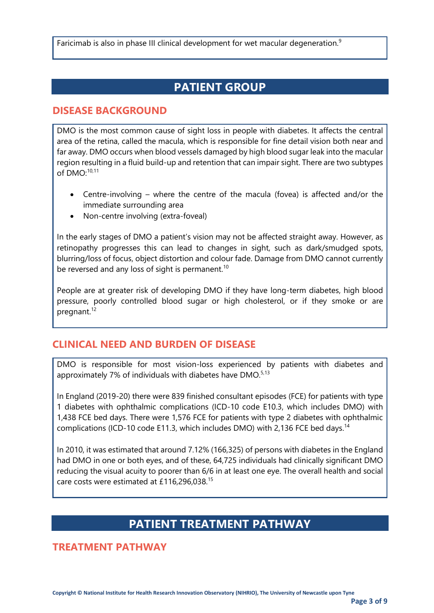Faricimab is also in phase III clinical development for wet macular degeneration.<sup>9</sup>

### **PATIENT GROUP**

#### **DISEASE BACKGROUND**

DMO is the most common cause of sight loss in people with diabetes. It affects the central area of the retina, called the macula, which is responsible for fine detail vision both near and far away. DMO occurs when blood vessels damaged by high blood sugar leak into the macular region resulting in a fluid build-up and retention that can impair sight. There are two subtypes of  $DMO$ <sup>-10,11</sup>

- Centre-involving where the centre of the macula (fovea) is affected and/or the immediate surrounding area
- Non-centre involving (extra-foveal)

In the early stages of DMO a patient's vision may not be affected straight away. However, as retinopathy progresses this can lead to changes in sight, such as dark/smudged spots, blurring/loss of focus, object distortion and colour fade. Damage from DMO cannot currently be reversed and any loss of sight is permanent.<sup>10</sup>

People are at greater risk of developing DMO if they have long-term diabetes, high blood pressure, poorly controlled blood sugar or high cholesterol, or if they smoke or are pregnant.<sup>12</sup>

#### **CLINICAL NEED AND BURDEN OF DISEASE**

DMO is responsible for most vision-loss experienced by patients with diabetes and approximately 7% of individuals with diabetes have DMO.<sup>5,13</sup>

In England (2019-20) there were 839 finished consultant episodes (FCE) for patients with type 1 diabetes with ophthalmic complications (ICD-10 code E10.3, which includes DMO) with 1,438 FCE bed days. There were 1,576 FCE for patients with type 2 diabetes with ophthalmic complications (ICD-10 code E11.3, which includes DMO) with 2,136 FCE bed days.<sup>14</sup>

In 2010, it was estimated that around 7.12% (166,325) of persons with diabetes in the England had DMO in one or both eyes, and of these, 64,725 individuals had clinically significant DMO reducing the visual acuity to poorer than 6/6 in at least one eye. The overall health and social care costs were estimated at £116,296,038.<sup>15</sup>

### **PATIENT TREATMENT PATHWAY**

**TREATMENT PATHWAY**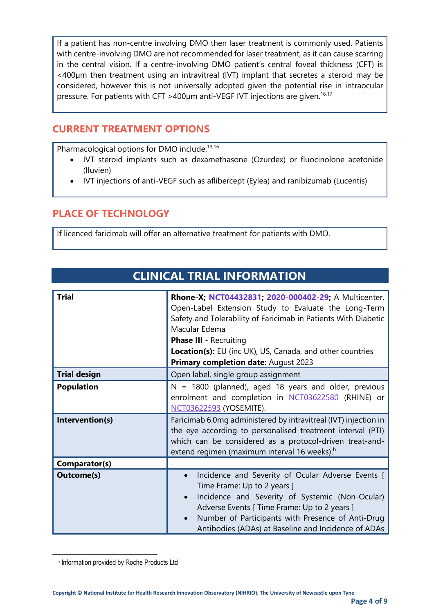If a patient has non-centre involving DMO then laser treatment is commonly used. Patients with centre-involving DMO are not recommended for laser treatment, as it can cause scarring in the central vision. If a centre-involving DMO patient's central foveal thickness (CFT) is <400µm then treatment using an intravitreal (IVT) implant that secretes a steroid may be considered, however this is not universally adopted given the potential rise in intraocular pressure. For patients with CFT >400µm anti-VEGF IVT injections are given.<sup>16,17</sup>

#### **CURRENT TREATMENT OPTIONS**

Pharmacological options for DMO include:<sup>13,16</sup>

- IVT steroid implants such as dexamethasone (Ozurdex) or fluocinolone acetonide (Iluvien)
- IVT injections of anti-VEGF such as aflibercept (Eylea) and ranibizumab (Lucentis)

#### **PLACE OF TECHNOLOGY**

If licenced faricimab will offer an alternative treatment for patients with DMO.

| <b>Trial</b>        | Rhone-X; NCT04432831; 2020-000402-29; A Multicenter,<br>Open-Label Extension Study to Evaluate the Long-Term<br>Safety and Tolerability of Faricimab in Patients With Diabetic<br>Macular Edema<br><b>Phase III - Recruiting</b><br><b>Location(s):</b> EU (inc UK), US, Canada, and other countries<br><b>Primary completion date: August 2023</b> |  |
|---------------------|-----------------------------------------------------------------------------------------------------------------------------------------------------------------------------------------------------------------------------------------------------------------------------------------------------------------------------------------------------|--|
| <b>Trial design</b> | Open label, single group assignment                                                                                                                                                                                                                                                                                                                 |  |
| <b>Population</b>   | $N = 1800$ (planned), aged 18 years and older, previous<br>enrolment and completion in NCT03622580 (RHINE) or<br>NCT03622593 (YOSEMITE).                                                                                                                                                                                                            |  |
| Intervention(s)     | Faricimab 6.0mg administered by intravitreal (IVT) injection in<br>the eye according to personalised treatment interval (PTI)<br>which can be considered as a protocol-driven treat-and-<br>extend regimen (maximum interval 16 weeks). <sup>b</sup>                                                                                                |  |
| Comparator(s)       |                                                                                                                                                                                                                                                                                                                                                     |  |
| <b>Outcome(s)</b>   | Incidence and Severity of Ocular Adverse Events [<br>Time Frame: Up to 2 years ]<br>Incidence and Severity of Systemic (Non-Ocular)<br>Adverse Events [ Time Frame: Up to 2 years ]<br>Number of Participants with Presence of Anti-Drug<br>Antibodies (ADAs) at Baseline and Incidence of ADAs                                                     |  |

### **CLINICAL TRIAL INFORMATION**

b Information provided by Roche Products Ltd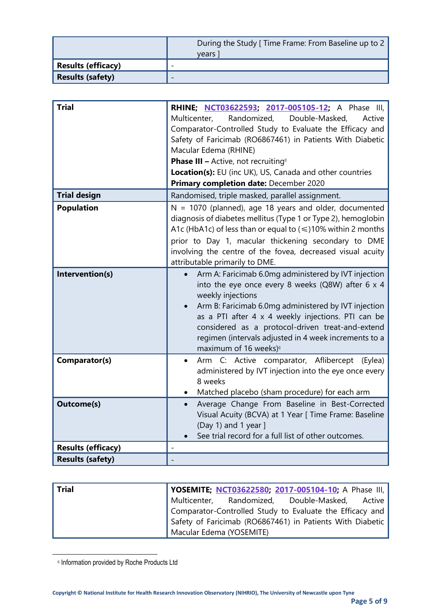|                           | During the Study [ Time Frame: From Baseline up to 2<br>vears |
|---------------------------|---------------------------------------------------------------|
| <b>Results (efficacy)</b> | $\overline{\phantom{0}}$                                      |
| <b>Results (safety)</b>   | $\overline{\phantom{0}}$                                      |

| <b>Trial</b>              | RHINE; NCT03622593; 2017-005105-12; A Phase III,<br>Randomized,<br>Double-Masked,<br>Multicenter,<br>Active<br>Comparator-Controlled Study to Evaluate the Efficacy and<br>Safety of Faricimab (RO6867461) in Patients With Diabetic<br>Macular Edema (RHINE)<br><b>Phase III - Active, not recruiting</b> <sup>c</sup><br>Location(s): EU (inc UK), US, Canada and other countries<br>Primary completion date: December 2020 |
|---------------------------|-------------------------------------------------------------------------------------------------------------------------------------------------------------------------------------------------------------------------------------------------------------------------------------------------------------------------------------------------------------------------------------------------------------------------------|
| <b>Trial design</b>       | Randomised, triple masked, parallel assignment.                                                                                                                                                                                                                                                                                                                                                                               |
| <b>Population</b>         | $N = 1070$ (planned), age 18 years and older, documented<br>diagnosis of diabetes mellitus (Type 1 or Type 2), hemoglobin<br>A1c (HbA1c) of less than or equal to $(\leq)10\%$ within 2 months<br>prior to Day 1, macular thickening secondary to DME<br>involving the centre of the fovea, decreased visual acuity<br>attributable primarily to DME.                                                                         |
| Intervention(s)           | Arm A: Faricimab 6.0mg administered by IVT injection<br>$\bullet$<br>into the eye once every 8 weeks (Q8W) after 6 x 4<br>weekly injections<br>Arm B: Faricimab 6.0mg administered by IVT injection<br>as a PTI after 4 x 4 weekly injections. PTI can be<br>considered as a protocol-driven treat-and-extend<br>regimen (intervals adjusted in 4 week increments to a<br>maximum of 16 weeks) <sup>c</sup>                   |
| Comparator(s)             | Arm C: Active comparator, Aflibercept (Eylea)<br>$\bullet$<br>administered by IVT injection into the eye once every<br>8 weeks<br>Matched placebo (sham procedure) for each arm                                                                                                                                                                                                                                               |
| <b>Outcome(s)</b>         | Average Change From Baseline in Best-Corrected<br>$\bullet$<br>Visual Acuity (BCVA) at 1 Year [ Time Frame: Baseline<br>(Day 1) and 1 year ]<br>See trial record for a full list of other outcomes.                                                                                                                                                                                                                           |
| <b>Results (efficacy)</b> |                                                                                                                                                                                                                                                                                                                                                                                                                               |
| <b>Results (safety)</b>   |                                                                                                                                                                                                                                                                                                                                                                                                                               |

| <b>Trial</b> | YOSEMITE; NCT03622580; 2017-005104-10; A Phase III,       |
|--------------|-----------------------------------------------------------|
|              | Multicenter, Randomized, Double-Masked, Active            |
|              | Comparator-Controlled Study to Evaluate the Efficacy and  |
|              | Safety of Faricimab (RO6867461) in Patients With Diabetic |
|              | Macular Edema (YOSEMITE)                                  |

c Information provided by Roche Products Ltd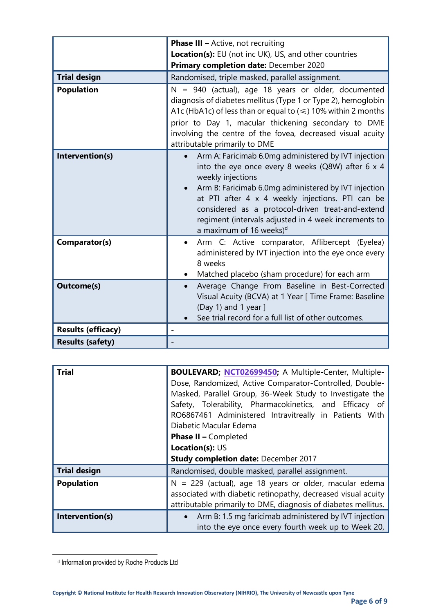|                           | <b>Phase III - Active, not recruiting</b>                                                                                                                                                                                                                                                                                                                                                     |  |
|---------------------------|-----------------------------------------------------------------------------------------------------------------------------------------------------------------------------------------------------------------------------------------------------------------------------------------------------------------------------------------------------------------------------------------------|--|
|                           | Location(s): EU (not inc UK), US, and other countries                                                                                                                                                                                                                                                                                                                                         |  |
|                           | Primary completion date: December 2020                                                                                                                                                                                                                                                                                                                                                        |  |
| <b>Trial design</b>       | Randomised, triple masked, parallel assignment.                                                                                                                                                                                                                                                                                                                                               |  |
| <b>Population</b>         | $N = 940$ (actual), age 18 years or older, documented<br>diagnosis of diabetes mellitus (Type 1 or Type 2), hemoglobin<br>A1c (HbA1c) of less than or equal to $(\leq)$ 10% within 2 months<br>prior to Day 1, macular thickening secondary to DME<br>involving the centre of the fovea, decreased visual acuity<br>attributable primarily to DME                                             |  |
| Intervention(s)           | Arm A: Faricimab 6.0mg administered by IVT injection<br>into the eye once every 8 weeks (Q8W) after 6 x 4<br>weekly injections<br>Arm B: Faricimab 6.0mg administered by IVT injection<br>at PTI after 4 x 4 weekly injections. PTI can be<br>considered as a protocol-driven treat-and-extend<br>regiment (intervals adjusted in 4 week increments to<br>a maximum of 16 weeks) <sup>d</sup> |  |
| Comparator(s)             | Arm C: Active comparator, Aflibercept (Eyelea)<br>administered by IVT injection into the eye once every<br>8 weeks<br>Matched placebo (sham procedure) for each arm                                                                                                                                                                                                                           |  |
| <b>Outcome(s)</b>         | Average Change From Baseline in Best-Corrected<br>Visual Acuity (BCVA) at 1 Year [ Time Frame: Baseline<br>(Day 1) and 1 year $]$<br>See trial record for a full list of other outcomes.                                                                                                                                                                                                      |  |
| <b>Results (efficacy)</b> |                                                                                                                                                                                                                                                                                                                                                                                               |  |
| <b>Results (safety)</b>   |                                                                                                                                                                                                                                                                                                                                                                                               |  |

| <b>Trial</b>        | BOULEVARD; NCT02699450; A Multiple-Center, Multiple-<br>Dose, Randomized, Active Comparator-Controlled, Double-<br>Masked, Parallel Group, 36-Week Study to Investigate the<br>Safety, Tolerability, Pharmacokinetics, and Efficacy of<br>RO6867461 Administered Intravitreally in Patients With<br>Diabetic Macular Edema<br><b>Phase II - Completed</b><br>Location(s): US |  |
|---------------------|------------------------------------------------------------------------------------------------------------------------------------------------------------------------------------------------------------------------------------------------------------------------------------------------------------------------------------------------------------------------------|--|
|                     | <b>Study completion date: December 2017</b>                                                                                                                                                                                                                                                                                                                                  |  |
| <b>Trial design</b> | Randomised, double masked, parallel assignment.                                                                                                                                                                                                                                                                                                                              |  |
| <b>Population</b>   | $N = 229$ (actual), age 18 years or older, macular edema<br>associated with diabetic retinopathy, decreased visual acuity<br>attributable primarily to DME, diagnosis of diabetes mellitus.                                                                                                                                                                                  |  |
| Intervention(s)     | Arm B: 1.5 mg faricimab administered by IVT injection<br>$\bullet$<br>into the eye once every fourth week up to Week 20,                                                                                                                                                                                                                                                     |  |

d Information provided by Roche Products Ltd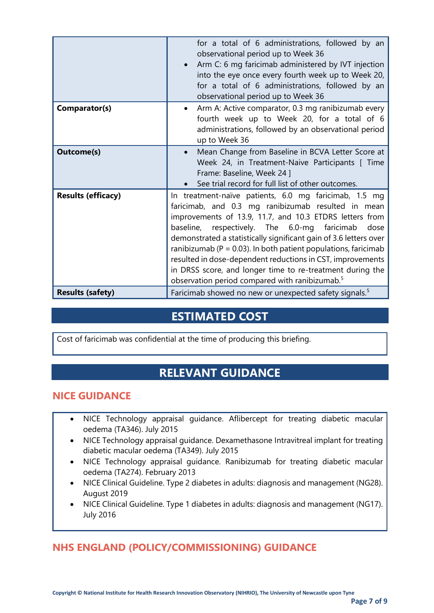|                           | for a total of 6 administrations, followed by an<br>observational period up to Week 36<br>Arm C: 6 mg faricimab administered by IVT injection<br>into the eye once every fourth week up to Week 20,<br>for a total of 6 administrations, followed by an<br>observational period up to Week 36                                                                                                                                                                                                                                                                         |  |
|---------------------------|-----------------------------------------------------------------------------------------------------------------------------------------------------------------------------------------------------------------------------------------------------------------------------------------------------------------------------------------------------------------------------------------------------------------------------------------------------------------------------------------------------------------------------------------------------------------------|--|
| Comparator(s)             | Arm A: Active comparator, 0.3 mg ranibizumab every<br>fourth week up to Week 20, for a total of 6<br>administrations, followed by an observational period<br>up to Week 36                                                                                                                                                                                                                                                                                                                                                                                            |  |
| <b>Outcome(s)</b>         | Mean Change from Baseline in BCVA Letter Score at<br>Week 24, in Treatment-Naive Participants [ Time<br>Frame: Baseline, Week 24 ]<br>See trial record for full list of other outcomes.                                                                                                                                                                                                                                                                                                                                                                               |  |
| <b>Results (efficacy)</b> | In treatment-naïve patients, 6.0 mg faricimab, 1.5 mg<br>faricimab, and 0.3 mg ranibizumab resulted in mean<br>improvements of 13.9, 11.7, and 10.3 ETDRS letters from<br>respectively. The 6.0-mg faricimab<br>baseline,<br>dose<br>demonstrated a statistically significant gain of 3.6 letters over<br>ranibizumab ( $P = 0.03$ ). In both patient populations, faricimab<br>resulted in dose-dependent reductions in CST, improvements<br>in DRSS score, and longer time to re-treatment during the<br>observation period compared with ranibizumab. <sup>5</sup> |  |
| <b>Results (safety)</b>   | Faricimab showed no new or unexpected safety signals. <sup>5</sup>                                                                                                                                                                                                                                                                                                                                                                                                                                                                                                    |  |

### **ESTIMATED COST**

Cost of faricimab was confidential at the time of producing this briefing.

### **RELEVANT GUIDANCE**

#### **NICE GUIDANCE**

- NICE Technology appraisal guidance. Aflibercept for treating diabetic macular oedema (TA346). July 2015
- NICE Technology appraisal guidance. Dexamethasone Intravitreal implant for treating diabetic macular oedema (TA349). July 2015
- NICE Technology appraisal guidance. Ranibizumab for treating diabetic macular oedema (TA274). February 2013
- NICE Clinical Guideline. Type 2 diabetes in adults: diagnosis and management (NG28). August 2019
- NICE Clinical Guideline. Type 1 diabetes in adults: diagnosis and management (NG17). July 2016

### **NHS ENGLAND (POLICY/COMMISSIONING) GUIDANCE**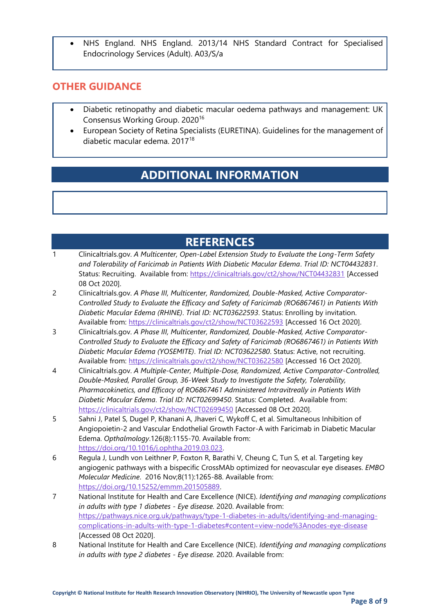• NHS England. NHS England. 2013/14 NHS Standard Contract for Specialised Endocrinology Services (Adult). A03/S/a

#### **OTHER GUIDANCE**

- Diabetic retinopathy and diabetic macular oedema pathways and management: UK Consensus Working Group. 2020<sup>16</sup>
- European Society of Retina Specialists (EURETINA). Guidelines for the management of diabetic macular edema. 2017<sup>18</sup>

### **ADDITIONAL INFORMATION**

### **REFERENCES**

| Clinicaltrials.gov. A Multicenter, Open-Label Extension Study to Evaluate the Long-Term Safety |
|------------------------------------------------------------------------------------------------|
| and Tolerability of Faricimab in Patients With Diabetic Macular Edema. Trial ID: NCT04432831.  |
| Status: Recruiting. Available from: https://clinicaltrials.gov/ct2/show/NCT04432831 [Accessed  |
| 08 Oct 20201.                                                                                  |

- 2 Clinicaltrials.gov. *A Phase III, Multicenter, Randomized, Double-Masked, Active Comparator-Controlled Study to Evaluate the Efficacy and Safety of Faricimab (RO6867461) in Patients With Diabetic Macular Edema (RHINE)*. *Trial ID: NCT03622593*. Status: Enrolling by invitation. Available from:<https://clinicaltrials.gov/ct2/show/NCT03622593> [Accessed 16 Oct 2020].
- 3 Clinicaltrials.gov. *A Phase III, Multicenter, Randomized, Double-Masked, Active Comparator-Controlled Study to Evaluate the Efficacy and Safety of Faricimab (RO6867461) in Patients With Diabetic Macular Edema (YOSEMITE)*. *Trial ID: NCT03622580*. Status: Active, not recruiting. Available from:<https://clinicaltrials.gov/ct2/show/NCT03622580> [Accessed 16 Oct 2020].
- 4 Clinicaltrials.gov. *A Multiple-Center, Multiple-Dose, Randomized, Active Comparator-Controlled, Double-Masked, Parallel Group, 36-Week Study to Investigate the Safety, Tolerability, Pharmacokinetics, and Efficacy of RO6867461 Administered Intravitreally in Patients With Diabetic Macular Edema*. *Trial ID: NCT02699450*. Status: Completed. Available from: <https://clinicaltrials.gov/ct2/show/NCT02699450> [Accessed 08 Oct 2020].
- 5 Sahni J, Patel S, Dugel P, Khanani A, Jhaveri C, Wykoff C, et al. Simultaneous Inhibition of Angiopoietin-2 and Vascular Endothelial Growth Factor-A with Faricimab in Diabetic Macular Edema. *Opthalmology*.126(8):1155-70. Available from: [https://doi.org/10.1016/j.ophtha.2019.03.023.](https://doi.org/10.1016/j.ophtha.2019.03.023)
- 6 Regula J, Lundh von Leithner P, Foxton R, Barathi V, Cheung C, Tun S, et al. Targeting key angiogenic pathways with a bispecific CrossMAb optimized for neovascular eye diseases. *EMBO Molecular Medicine*. 2016 Nov;8(11):1265-88. Available from: [https://doi.org/10.15252/emmm.201505889.](https://doi.org/10.15252/emmm.201505889)
- 7 National Institute for Health and Care Excellence (NICE). *Identifying and managing complications in adults with type 1 diabetes - Eye disease.* 2020. Available from: [https://pathways.nice.org.uk/pathways/type-1-diabetes-in-adults/identifying-and-managing](https://pathways.nice.org.uk/pathways/type-1-diabetes-in-adults/identifying-and-managing-complications-in-adults-with-type-1-diabetes#content=view-node%3Anodes-eye-disease)[complications-in-adults-with-type-1-diabetes#content=view-node%3Anodes-eye-disease](https://pathways.nice.org.uk/pathways/type-1-diabetes-in-adults/identifying-and-managing-complications-in-adults-with-type-1-diabetes#content=view-node%3Anodes-eye-disease) [Accessed 08 Oct 2020].
- 8 National Institute for Health and Care Excellence (NICE). *Identifying and managing complications in adults with type 2 diabetes - Eye disease.* 2020. Available from: